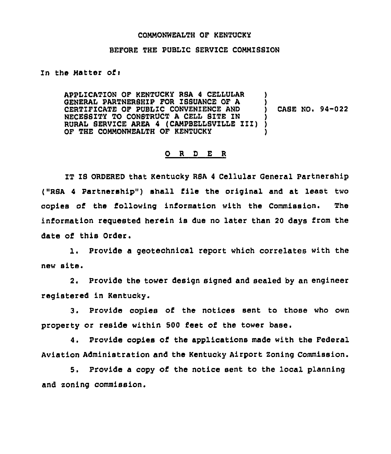## COMMONWEALTH OF KENTUCKY

## BEFORE THE PUBLIC SERVICE COMMISSION

## In the Matter of:

APPLICATION OF KENTUCKY RSA 4 CELLULAR GENERAL PARTNERSHIP FOR ISSUANCE OF A CERTIFICATE OF PUBLIC CONVENIENCE AND NECESSITY TO CONSTRUCT <sup>A</sup> CELL SITE IN RURAL SERVICE AREA 4 (CAMPBELLSVILLE III) OF THE COMMONWEALTH OF KENTUCKY ) ) ) CASE NO. 94-022 ) ) )

## 0 <sup>R</sup> <sup>D</sup> E <sup>R</sup>

IT IS ORDERED that Kentucky RSA 4 Cellular General Partnership ("RSA 4 Partnership") shall file the original and at least two copies of the following information with the Commission. The information reguested herein is due no later than <sup>20</sup> days from the date of this Order.

1. Provide <sup>a</sup> geotechnical report which correlates with the new site.

2. Provide the tower design signed and sealed by an engineer registered in Kentucky.

3. Provide copies of the notices sent to those who own property or reside within 500 feet of the tower base.

4. Provide copies of the applications made with the Federal Aviation Administration and the Kentucky Airport Zoning Commission.

5. Provide a copy of the notice sent to the local planning and zoning commission.